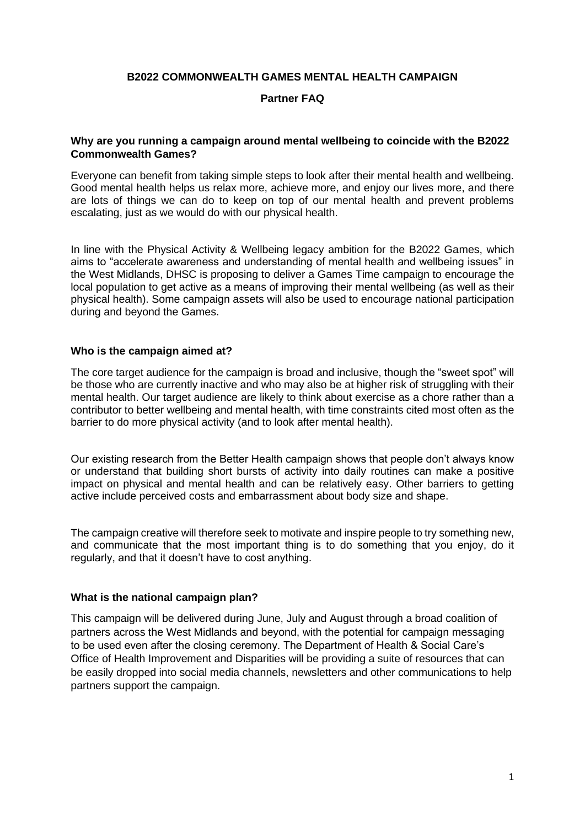#### **B2022 COMMONWEALTH GAMES MENTAL HEALTH CAMPAIGN**

## **Partner FAQ**

### **Why are you running a campaign around mental wellbeing to coincide with the B2022 Commonwealth Games?**

Everyone can benefit from taking simple steps to look after their mental health and wellbeing. Good mental health helps us relax more, achieve more, and enjoy our lives more, and there are lots of things we can do to keep on top of our mental health and prevent problems escalating, just as we would do with our physical health.

In line with the Physical Activity & Wellbeing legacy ambition for the B2022 Games, which aims to "accelerate awareness and understanding of mental health and wellbeing issues" in the West Midlands, DHSC is proposing to deliver a Games Time campaign to encourage the local population to get active as a means of improving their mental wellbeing (as well as their physical health). Some campaign assets will also be used to encourage national participation during and beyond the Games.

#### **Who is the campaign aimed at?**

The core target audience for the campaign is broad and inclusive, though the "sweet spot" will be those who are currently inactive and who may also be at higher risk of struggling with their mental health. Our target audience are likely to think about exercise as a chore rather than a contributor to better wellbeing and mental health, with time constraints cited most often as the barrier to do more physical activity (and to look after mental health).

Our existing research from the Better Health campaign shows that people don't always know or understand that building short bursts of activity into daily routines can make a positive impact on physical and mental health and can be relatively easy. Other barriers to getting active include perceived costs and embarrassment about body size and shape.

The campaign creative will therefore seek to motivate and inspire people to try something new, and communicate that the most important thing is to do something that you enjoy, do it regularly, and that it doesn't have to cost anything.

#### **What is the national campaign plan?**

This campaign will be delivered during June, July and August through a broad coalition of partners across the West Midlands and beyond, with the potential for campaign messaging to be used even after the closing ceremony. The Department of Health & Social Care's Office of Health Improvement and Disparities will be providing a suite of resources that can be easily dropped into social media channels, newsletters and other communications to help partners support the campaign.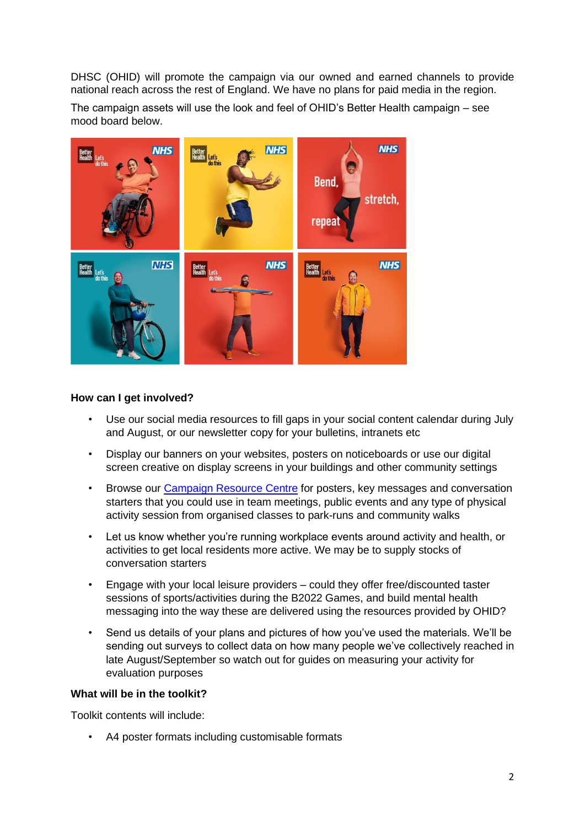DHSC (OHID) will promote the campaign via our owned and earned channels to provide national reach across the rest of England. We have no plans for paid media in the region.

The campaign assets will use the look and feel of OHID's Better Health campaign – see mood board below.



# **How can I get involved?**

- Use our social media resources to fill gaps in your social content calendar during July and August, or our newsletter copy for your bulletins, intranets etc
- Display our banners on your websites, posters on noticeboards or use our digital screen creative on display screens in your buildings and other community settings
- Browse our [Campaign Resource Centre](https://campaignresources.phe.gov.uk/resources/campaigns/111-better-health---every-mind-matters/resources) for posters, key messages and conversation starters that you could use in team meetings, public events and any type of physical activity session from organised classes to park-runs and community walks
- Let us know whether you're running workplace events around activity and health, or activities to get local residents more active. We may be to supply stocks of conversation starters
- Engage with your local leisure providers could they offer free/discounted taster sessions of sports/activities during the B2022 Games, and build mental health messaging into the way these are delivered using the resources provided by OHID?
- Send us details of your plans and pictures of how you've used the materials. We'll be sending out surveys to collect data on how many people we've collectively reached in late August/September so watch out for guides on measuring your activity for evaluation purposes

## **What will be in the toolkit?**

Toolkit contents will include:

• A4 poster formats including customisable formats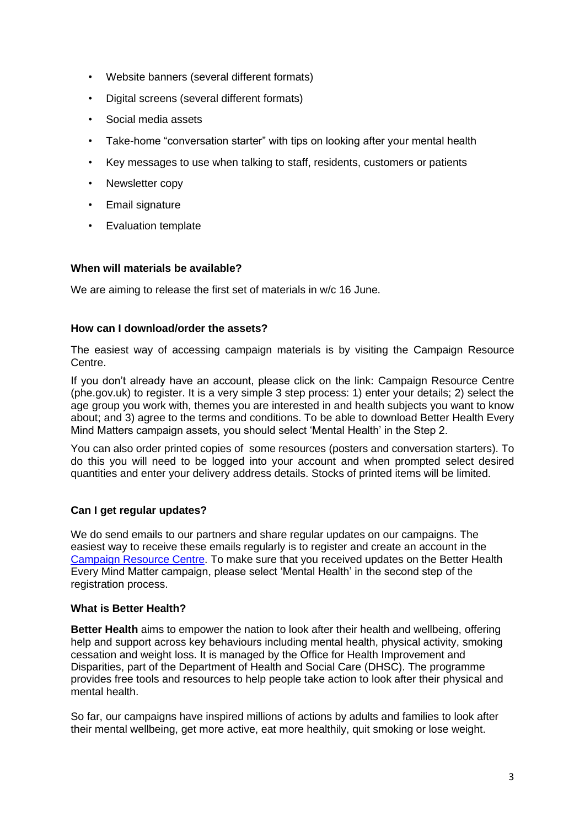- Website banners (several different formats)
- Digital screens (several different formats)
- Social media assets
- Take-home "conversation starter" with tips on looking after your mental health
- Key messages to use when talking to staff, residents, customers or patients
- Newsletter copy
- Email signature
- Evaluation template

# **When will materials be available?**

We are aiming to release the first set of materials in w/c 16 June.

### **How can I download/order the assets?**

The easiest way of accessing campaign materials is by visiting the [Campaign Resource](https://campaignresources.phe.gov.uk/resources)  [Centre.](https://campaignresources.phe.gov.uk/resources)

If you don't already have an account, please click on the link: [Campaign Resource Centre](https://campaignresources.phe.gov.uk/resources/user/new?from_modal=true)  [\(phe.gov.uk\)](https://campaignresources.phe.gov.uk/resources/user/new?from_modal=true) to register. It is a very simple 3 step process: 1) enter your details; 2) select the age group you work with, themes you are interested in and health subjects you want to know about; and 3) agree to the terms and conditions. To be able to download Better Health Every Mind Matters campaign assets, you should select 'Mental Health' in the Step 2.

You can also order printed copies of some resources (posters and conversation starters). To do this you will need to be logged into your account and when prompted select desired quantities and enter your delivery address details. Stocks of printed items will be limited.

# **Can I get regular updates?**

We do send emails to our partners and share regular updates on our campaigns. The easiest way to receive these emails regularly is to register and create an account in the [Campaign Resource Centre.](https://campaignresources.phe.gov.uk/resources/user/new?from_modal=true) To make sure that you received updates on the Better Health Every Mind Matter campaign, please select 'Mental Health' in the second step of the registration process.

# **What is Better Health?**

**Better Health** aims to empower the nation to look after their health and wellbeing, offering help and support across key behaviours including mental health, physical activity, smoking cessation and weight loss. It is managed by the Office for Health Improvement and Disparities, part of the Department of Health and Social Care (DHSC). The programme provides free tools and resources to help people take action to look after their physical and mental health.

So far, our campaigns have inspired millions of actions by adults and families to look after their mental wellbeing, get more active, eat more healthily, quit smoking or lose weight.